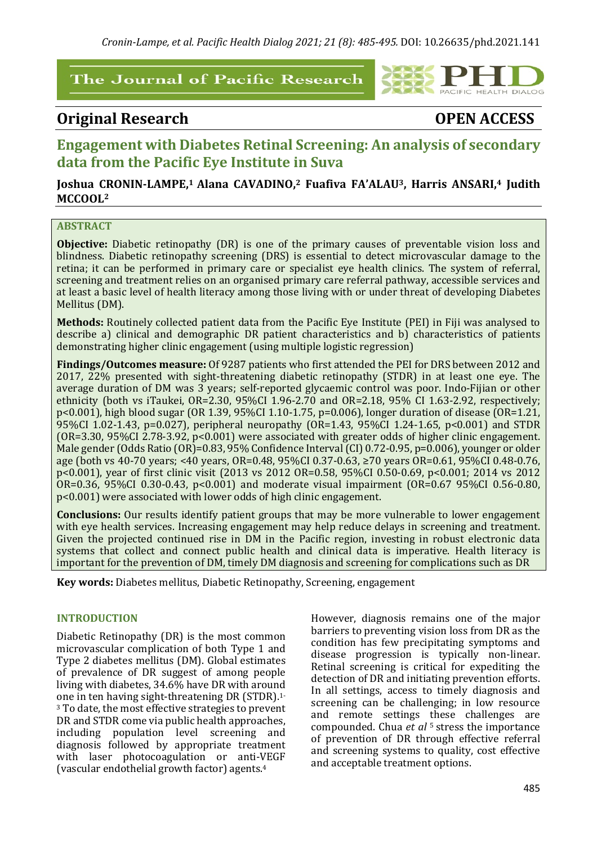## The Journal of Pacific Research



# **Original Research OPEN ACCESS**

# **Engagement with Diabetes Retinal Screening: An analysis of secondary** data from the Pacific Eve Institute in Suva

## Joshua CRONIN-LAMPE,<sup>1</sup> Alana CAVADINO,<sup>2</sup> Fuafiva FA'ALAU<sup>3</sup>, Harris ANSARI,<sup>4</sup> Judith MCCOOL<sup>2</sup>

## **ABSTRACT**

**Objective:** Diabetic retinopathy (DR) is one of the primary causes of preventable vision loss and blindness. Diabetic retinopathy screening (DRS) is essential to detect microvascular damage to the retina; it can be performed in primary care or specialist eye health clinics. The system of referral, screening and treatment relies on an organised primary care referral pathway, accessible services and at least a basic level of health literacy among those living with or under threat of developing Diabetes Mellitus (DM).

Methods: Routinely collected patient data from the Pacific Eye Institute (PEI) in Fiji was analysed to describe a) clinical and demographic DR patient characteristics and b) characteristics of patients demonstrating higher clinic engagement (using multiple logistic regression)

Findings/Outcomes measure: Of 9287 patients who first attended the PEI for DRS between 2012 and 2017, 22% presented with sight-threatening diabetic retinopathy (STDR) in at least one eye. The average duration of DM was 3 years; self-reported glycaemic control was poor. Indo-Fijian or other ethnicity (both vs iTaukei, OR=2.30,  $95\%$ CI 1.96-2.70 and OR=2.18,  $95\%$  CI 1.63-2.92, respectively;  $p$ <0.001), high blood sugar (OR 1.39, 95%CI 1.10-1.75,  $p$ =0.006), longer duration of disease (OR=1.21, 95%CI 1.02-1.43, p=0.027), peripheral neuropathy (OR=1.43, 95%CI 1.24-1.65, p<0.001) and STDR (OR=3.30, 95%CI 2.78-3.92,  $p<0.001$ ) were associated with greater odds of higher clinic engagement. Male gender (Odds Ratio (OR)=0.83, 95% Confidence Interval (CI) 0.72-0.95, p=0.006), younger or older age (both vs 40-70 years; <40 years, OR=0.48, 95%CI 0.37-0.63, ≥70 years OR=0.61, 95%CI 0.48-0.76, p<0.001), year of first clinic visit (2013 vs 2012 OR=0.58, 95%CI 0.50-0.69, p<0.001; 2014 vs 2012 OR=0.36, 95%CI 0.30-0.43, p<0.001) and moderate visual impairment (OR=0.67 95%CI 0.56-0.80,  $p$ <0.001) were associated with lower odds of high clinic engagement.

**Conclusions:** Our results identify patient groups that may be more vulnerable to lower engagement with eye health services. Increasing engagement may help reduce delays in screening and treatment. Given the projected continued rise in DM in the Pacific region, investing in robust electronic data systems that collect and connect public health and clinical data is imperative. Health literacy is important for the prevention of DM, timely DM diagnosis and screening for complications such as DR

**Key words:** Diabetes mellitus, Diabetic Retinopathy, Screening, engagement

#### **INTRODUCTION**

Diabetic Retinopathy (DR) is the most common microvascular complication of both Type 1 and Type 2 diabetes mellitus (DM). Global estimates of prevalence of DR suggest of among people living with diabetes, 34.6% have DR with around one in ten having sight-threatening DR (STDR).<sup>1-</sup> <sup>3</sup> To date, the most effective strategies to prevent DR and STDR come via public health approaches, including population level screening and diagnosis followed by appropriate treatment with laser photocoagulation or anti-VEGF (vascular endothelial growth factor) agents.<sup>4</sup>

However, diagnosis remains one of the major barriers to preventing vision loss from DR as the condition has few precipitating symptoms and disease progression is typically non-linear. Retinal screening is critical for expediting the detection of DR and initiating prevention efforts. In all settings, access to timely diagnosis and screening can be challenging; in low resource and remote settings these challenges are compounded. Chua *et al* <sup>5</sup> stress the importance of prevention of DR through effective referral and screening systems to quality, cost effective and acceptable treatment options.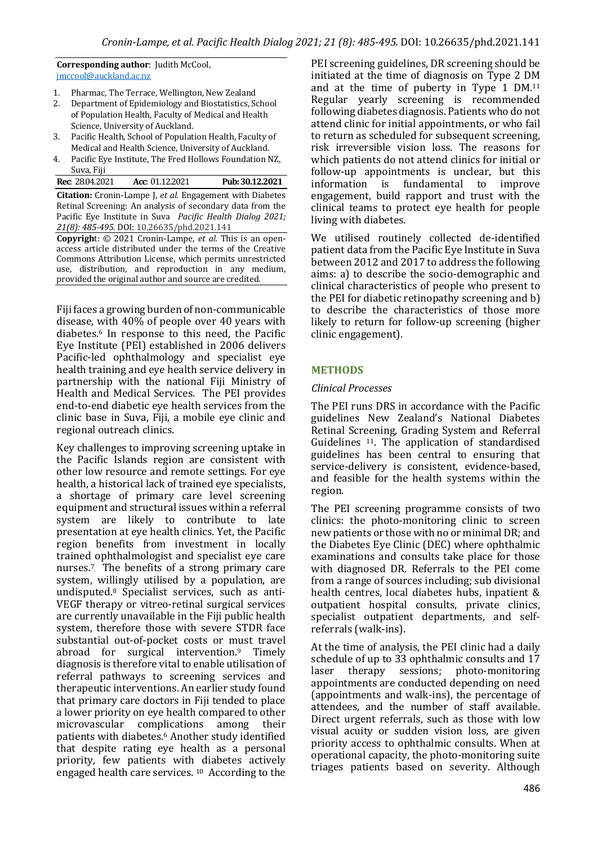**Corresponding author:** Judith McCool, jmccool@auckland.ac.nz

- 1. Pharmac, The Terrace, Wellington, New Zealand
- 2. Department of Epidemiology and Biostatistics, School of Population Health, Faculty of Medical and Health Science, University of Auckland.
- 3. Pacific Health, School of Population Health, Faculty of Medical and Health Science, University of Auckland.
- 4. Pacific Eye Institute, The Fred Hollows Foundation NZ, Suva, Fiji

| <b>Rec:</b> 28.04.2021                                           | Acc: 01.12.2021 |  |  | Pub: 30.12.2021 |
|------------------------------------------------------------------|-----------------|--|--|-----------------|
| <b>Citation:</b> Cronin-Lampe J, et al. Engagement with Diabetes |                 |  |  |                 |
| Retinal Screening: An analysis of secondary data from the        |                 |  |  |                 |
| Pacific Eye Institute in Suva Pacific Health Dialog 2021;        |                 |  |  |                 |
| 21(8): 485-495. DOI: 10.26635/phd.2021.141                       |                 |  |  |                 |
| <b>Copyright:</b> © 2021 Cronin-Lampe, et al. This is an open-   |                 |  |  |                 |
| access article distributed under the terms of the Creative       |                 |  |  |                 |
| Commons Attribution License, which permits unrestricted          |                 |  |  |                 |
| use, distribution, and reproduction in any medium,               |                 |  |  |                 |
| provided the original author and source are credited.            |                 |  |  |                 |

Fiji faces a growing burden of non-communicable disease, with 40% of people over 40 years with diabetes.<sup>6</sup> In response to this need, the Pacific Eye Institute (PEI) established in 2006 delivers Pacific-led ophthalmology and specialist eye health training and eve health service delivery in partnership with the national Fiji Ministry of Health and Medical Services. The PEI provides end-to-end diabetic eve health services from the clinic base in Suva, Fiji, a mobile eye clinic and regional outreach clinics.

Key challenges to improving screening uptake in the Pacific Islands region are consistent with other low resource and remote settings. For eye health, a historical lack of trained eye specialists, a shortage of primary care level screening equipment and structural issues within a referral system are likely to contribute to late presentation at eye health clinics. Yet, the Pacific region benefits from investment in locally trained ophthalmologist and specialist eye care nurses.<sup>7</sup> The benefits of a strong primary care system, willingly utilised by a population, are undisputed.<sup>8</sup> Specialist services, such as anti-VEGF therapy or vitreo-retinal surgical services are currently unavailable in the Fiji public health system, therefore those with severe STDR face substantial out-of-pocket costs or must travel abroad for surgical intervention.<sup>9</sup> Timely diagnosis is therefore vital to enable utilisation of referral pathways to screening services and therapeutic interventions. An earlier study found that primary care doctors in Fiji tended to place a lower priority on eye health compared to other microvascular complications among their patients with diabetes.<sup>6</sup> Another study identified that despite rating eye health as a personal priority, few patients with diabetes actively engaged health care services. <sup>10</sup> According to the PEI screening guidelines, DR screening should be initiated at the time of diagnosis on Type 2 DM and at the time of puberty in Type  $1$  DM.<sup>11</sup> Regular yearly screening is recommended following diabetes diagnosis. Patients who do not attend clinic for initial appointments, or who fail to return as scheduled for subsequent screening. risk irreversible vision loss. The reasons for which patients do not attend clinics for initial or follow-up appointments is unclear, but this information is fundamental to improve engagement, build rapport and trust with the clinical teams to protect eye health for people living with diabetes.

We utilised routinely collected de-identified patient data from the Pacific Eve Institute in Suva between 2012 and 2017 to address the following aims: a) to describe the socio-demographic and clinical characteristics of people who present to the PEI for diabetic retinopathy screening and b) to describe the characteristics of those more likely to return for follow-up screening (higher clinic engagement).

## **METHODS**

### *Clinical Processes*

The PEI runs DRS in accordance with the Pacific guidelines New Zealand's National Diabetes Retinal Screening, Grading System and Referral Guidelines <sup>11</sup>. The application of standardised guidelines has been central to ensuring that service-delivery is consistent, evidence-based, and feasible for the health systems within the region. 

The PEI screening programme consists of two clinics: the photo-monitoring clinic to screen new patients or those with no or minimal DR; and the Diabetes Eye Clinic (DEC) where ophthalmic examinations and consults take place for those with diagnosed DR. Referrals to the PEI come from a range of sources including; sub divisional health centres, local diabetes hubs, inpatient  $&$ outpatient hospital consults, private clinics, specialist outpatient departments, and selfreferrals (walk-ins).

At the time of analysis, the PEI clinic had a daily schedule of up to 33 ophthalmic consults and 17 laser therapy sessions; photo-monitoring appointments are conducted depending on need (appointments and walk-ins), the percentage of attendees, and the number of staff available. Direct urgent referrals, such as those with low visual acuity or sudden vision loss, are given priority access to ophthalmic consults. When at operational capacity, the photo-monitoring suite triages patients based on severity. Although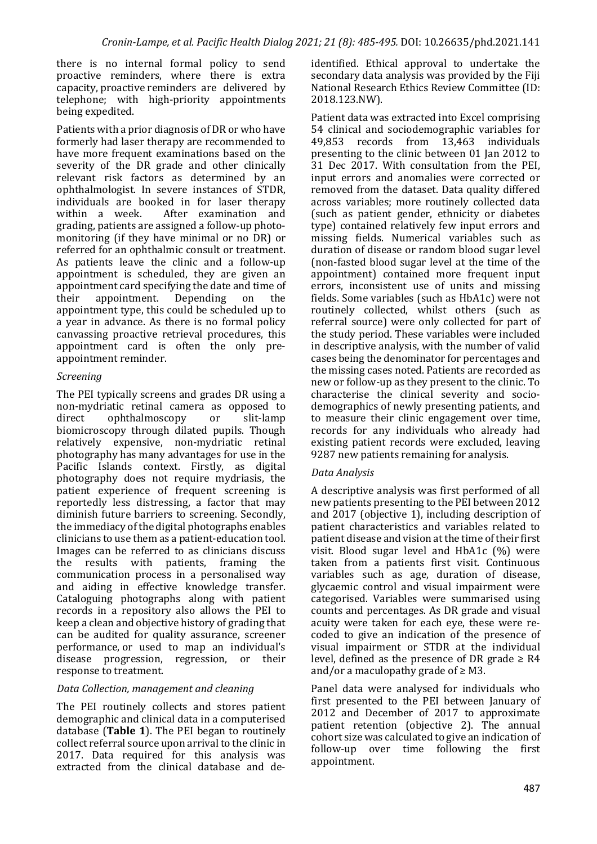there is no internal formal policy to send proactive reminders, where there is extra capacity, proactive reminders are delivered by telephone; with high-priority appointments being expedited.

Patients with a prior diagnosis of DR or who have formerly had laser therapy are recommended to have more frequent examinations based on the severity of the DR grade and other clinically relevant risk factors as determined by an ophthalmologist. In severe instances of STDR, individuals are booked in for laser therapy<br>within a week. After examination and After examination and grading, patients are assigned a follow-up photomonitoring (if they have minimal or no  $\overline{DR}$ ) or referred for an ophthalmic consult or treatment. As patients leave the clinic and a follow-up appointment is scheduled, they are given an appointment card specifying the date and time of their appointment. Depending on the appointment type, this could be scheduled up to a year in advance. As there is no formal policy canvassing proactive retrieval procedures, this appointment card is often the only preappointment reminder.

## *Screening*

The PEI typically screens and grades DR using a non-mydriatic retinal camera as opposed to direct ophthalmoscopy or slit-lamp biomicroscopy through dilated pupils. Though relatively expensive, non-mydriatic retinal photography has many advantages for use in the Pacific Islands context. Firstly, as digital photography does not require mydriasis, the patient experience of frequent screening is reportedly less distressing, a factor that  $m$ ay diminish future barriers to screening. Secondly, the immediacy of the digital photographs enables clinicians to use them as a patient-education tool. Images can be referred to as clinicians discuss the results with patients, framing the communication process in a personalised way and aiding in effective knowledge transfer. Cataloguing photographs along with patient records in a repository also allows the PEI to keep a clean and objective history of grading that can be audited for quality assurance, screener performance, or used to map an individual's disease progression, regression, or their response to treatment.

## *Data Collection, management and cleaning*

The PEI routinely collects and stores patient demographic and clinical data in a computerised database (Table 1). The PEI began to routinely collect referral source upon arrival to the clinic in 2017. Data required for this analysis was extracted from the clinical database and deidentified. Ethical approval to undertake the secondary data analysis was provided by the Fiji National Research Ethics Review Committee (ID: 2018.123.NW). 

Patient data was extracted into Excel comprising 54 clinical and sociodemographic variables for<br>49.853 records from 13.463 individuals 49,853 records from 13,463 individuals presenting to the clinic between 01 Ian 2012 to 31 Dec 2017. With consultation from the PEI, input errors and anomalies were corrected or removed from the dataset. Data quality differed across variables; more routinely collected data (such as patient gender, ethnicity or diabetes type) contained relatively few input errors and missing fields. Numerical variables such as duration of disease or random blood sugar level (non-fasted blood sugar level at the time of the appointment) contained more frequent input errors, inconsistent use of units and missing fields. Some variables (such as HbA1c) were not routinely collected, whilst others (such as referral source) were only collected for part of the study period. These variables were included in descriptive analysis, with the number of valid cases being the denominator for percentages and the missing cases noted. Patients are recorded as new or follow-up as they present to the clinic. To characterise the clinical severity and sociodemographics of newly presenting patients, and to measure their clinic engagement over time, records for any individuals who already had existing patient records were excluded, leaving 9287 new patients remaining for analysis.

## *Data Analysis*

A descriptive analysis was first performed of all new patients presenting to the PEI between 2012 and 2017 (objective 1), including description of patient characteristics and variables related to patient disease and vision at the time of their first visit. Blood sugar level and  $HbA1c$  (%) were taken from a patients first visit. Continuous variables such as age, duration of disease, glycaemic control and visual impairment were categorised. Variables were summarised using counts and percentages. As DR grade and visual acuity were taken for each eye, these were recoded to give an indication of the presence of visual impairment or STDR at the individual level, defined as the presence of DR grade  $\geq$  R4 and/or a maculopathy grade of  $\geq$  M3.

Panel data were analysed for individuals who first presented to the PEI between January of 2012 and December of 2017 to approximate patient retention (objective  $2$ ). The annual cohort size was calculated to give an indication of follow-up over time following the first appointment.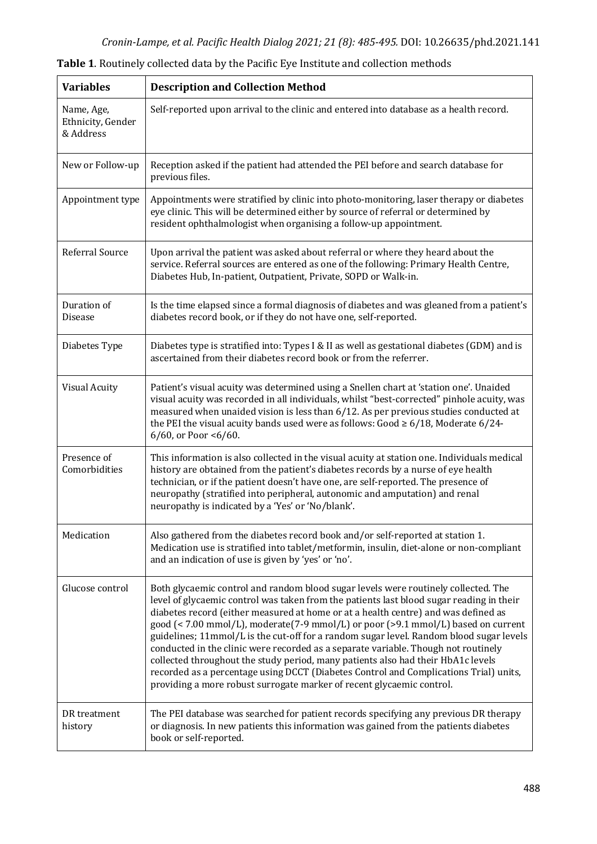| <b>Variables</b>                             | <b>Description and Collection Method</b>                                                                                                                                                                                                                                                                                                                                                                                                                                                                                                                                                                                                                                                                                                                                                         |
|----------------------------------------------|--------------------------------------------------------------------------------------------------------------------------------------------------------------------------------------------------------------------------------------------------------------------------------------------------------------------------------------------------------------------------------------------------------------------------------------------------------------------------------------------------------------------------------------------------------------------------------------------------------------------------------------------------------------------------------------------------------------------------------------------------------------------------------------------------|
| Name, Age,<br>Ethnicity, Gender<br>& Address | Self-reported upon arrival to the clinic and entered into database as a health record.                                                                                                                                                                                                                                                                                                                                                                                                                                                                                                                                                                                                                                                                                                           |
| New or Follow-up                             | Reception asked if the patient had attended the PEI before and search database for<br>previous files.                                                                                                                                                                                                                                                                                                                                                                                                                                                                                                                                                                                                                                                                                            |
| Appointment type                             | Appointments were stratified by clinic into photo-monitoring, laser therapy or diabetes<br>eye clinic. This will be determined either by source of referral or determined by<br>resident ophthalmologist when organising a follow-up appointment.                                                                                                                                                                                                                                                                                                                                                                                                                                                                                                                                                |
| Referral Source                              | Upon arrival the patient was asked about referral or where they heard about the<br>service. Referral sources are entered as one of the following: Primary Health Centre,<br>Diabetes Hub, In-patient, Outpatient, Private, SOPD or Walk-in.                                                                                                                                                                                                                                                                                                                                                                                                                                                                                                                                                      |
| Duration of<br><b>Disease</b>                | Is the time elapsed since a formal diagnosis of diabetes and was gleaned from a patient's<br>diabetes record book, or if they do not have one, self-reported.                                                                                                                                                                                                                                                                                                                                                                                                                                                                                                                                                                                                                                    |
| Diabetes Type                                | Diabetes type is stratified into: Types I & II as well as gestational diabetes (GDM) and is<br>ascertained from their diabetes record book or from the referrer.                                                                                                                                                                                                                                                                                                                                                                                                                                                                                                                                                                                                                                 |
| <b>Visual Acuity</b>                         | Patient's visual acuity was determined using a Snellen chart at 'station one'. Unaided<br>visual acuity was recorded in all individuals, whilst "best-corrected" pinhole acuity, was<br>measured when unaided vision is less than 6/12. As per previous studies conducted at<br>the PEI the visual acuity bands used were as follows: Good $\geq 6/18$ , Moderate 6/24-<br>6/60, or Poor < $6/60$ .                                                                                                                                                                                                                                                                                                                                                                                              |
| Presence of<br>Comorbidities                 | This information is also collected in the visual acuity at station one. Individuals medical<br>history are obtained from the patient's diabetes records by a nurse of eye health<br>technician, or if the patient doesn't have one, are self-reported. The presence of<br>neuropathy (stratified into peripheral, autonomic and amputation) and renal<br>neuropathy is indicated by a 'Yes' or 'No/blank'.                                                                                                                                                                                                                                                                                                                                                                                       |
| Medication                                   | Also gathered from the diabetes record book and/or self-reported at station 1.<br>Medication use is stratified into tablet/metformin, insulin, diet-alone or non-compliant<br>and an indication of use is given by 'yes' or 'no'.                                                                                                                                                                                                                                                                                                                                                                                                                                                                                                                                                                |
| Glucose control                              | Both glycaemic control and random blood sugar levels were routinely collected. The<br>level of glycaemic control was taken from the patients last blood sugar reading in their<br>diabetes record (either measured at home or at a health centre) and was defined as<br>good (< 7.00 mmol/L), moderate(7-9 mmol/L) or poor (>9.1 mmol/L) based on current<br>guidelines; 11mmol/L is the cut-off for a random sugar level. Random blood sugar levels<br>conducted in the clinic were recorded as a separate variable. Though not routinely<br>collected throughout the study period, many patients also had their HbA1c levels<br>recorded as a percentage using DCCT (Diabetes Control and Complications Trial) units,<br>providing a more robust surrogate marker of recent glycaemic control. |
| DR treatment<br>history                      | The PEI database was searched for patient records specifying any previous DR therapy<br>or diagnosis. In new patients this information was gained from the patients diabetes<br>book or self-reported.                                                                                                                                                                                                                                                                                                                                                                                                                                                                                                                                                                                           |

Table 1. Routinely collected data by the Pacific Eye Institute and collection methods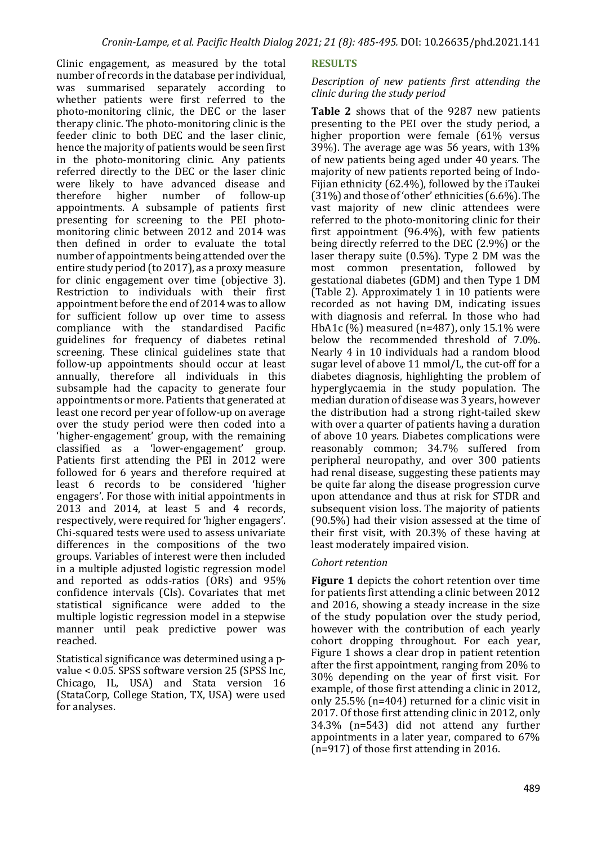Clinic engagement, as measured by the total number of records in the database per individual. was summarised separately according to whether patients were first referred to the photo-monitoring clinic, the DEC or the laser therapy clinic. The photo-monitoring clinic is the feeder clinic to both DEC and the laser clinic. hence the majority of patients would be seen first in the photo-monitoring clinic. Any patients referred directly to the DEC or the laser clinic were likely to have advanced disease and therefore higher number of follow-up appointments. A subsample of patients first presenting for screening to the PEI photomonitoring clinic between  $2012$  and  $2014$  was then defined in order to evaluate the total number of appointments being attended over the entire study period (to 2017), as a proxy measure for clinic engagement over time (objective 3). Restriction to individuals with their first appointment before the end of 2014 was to allow for sufficient follow up over time to assess compliance with the standardised Pacific guidelines for frequency of diabetes retinal screening. These clinical guidelines state that follow-up appointments should occur at least annually, therefore all individuals in this subsample had the capacity to generate four appointments or more. Patients that generated at least one record per year of follow-up on average over the study period were then coded into a 'higher-engagement' group, with the remaining classified as a 'lower-engagement' group. Patients first attending the  $\overline{PEI}$  in 2012 were followed for 6 years and therefore required at least 6 records to be considered 'higher engagers'. For those with initial appointments in  $2013$  and  $2014$ , at least 5 and 4 records, respectively, were required for 'higher engagers'. Chi-squared tests were used to assess univariate differences in the compositions of the two groups. Variables of interest were then included in a multiple adjusted logistic regression model and reported as odds-ratios  $(ORs)$  and  $95%$ confidence intervals (CIs). Covariates that met statistical significance were added to the multiple logistic regression model in a stepwise manner until peak predictive power was reached. 

Statistical significance was determined using a pvalue  $< 0.05$ . SPSS software version 25 (SPSS Inc, Chicago, IL, USA) and Stata version 16 (StataCorp, College Station, TX, USA) were used for analyses.

#### **RESULTS**

#### *Description of new patients first attending the clinic during the study period*

**Table 2** shows that of the 9287 new patients presenting to the PEI over the study period, a higher proportion were female  $(61\% \text{ versus } 1)$  $39\%$ ). The average age was 56 years, with  $13\%$ of new patients being aged under 40 years. The majority of new patients reported being of Indo-Fijian ethnicity  $(62.4\%)$ , followed by the iTaukei  $(31%)$  and those of 'other' ethnicities  $(6.6%)$ . The vast majority of new clinic attendees were referred to the photo-monitoring clinic for their first appointment  $(96.4\%)$ , with few patients being directly referred to the DEC  $(2.9\%)$  or the laser therapy suite  $(0.5\%)$ . Type 2 DM was the most common presentation, followed by gestational diabetes (GDM) and then Type 1 DM (Table 2). Approximately 1 in 10 patients were recorded as not having DM, indicating issues with diagnosis and referral. In those who had HbA1c  $(\frac{9}{0})$  measured (n=487), only 15.1% were below the recommended threshold of 7.0%. Nearly 4 in 10 individuals had a random blood sugar level of above  $11 \text{ mmol/L}$ , the cut-off for a diabetes diagnosis, highlighting the problem of hyperglycaemia in the study population. The median duration of disease was 3 years, however the distribution had a strong right-tailed skew with over a quarter of patients having a duration of above 10 years. Diabetes complications were reasonably common: 34.7% suffered from peripheral neuropathy, and over 300 patients had renal disease, suggesting these patients may be quite far along the disease progression curve upon attendance and thus at risk for STDR and subsequent vision loss. The majority of patients  $(90.5\%)$  had their vision assessed at the time of their first visit, with  $20.3\%$  of these having at least moderately impaired vision.

#### *Cohort retention*

**Figure 1** depicts the cohort retention over time for patients first attending a clinic between 2012 and 2016, showing a steady increase in the size of the study population over the study period, however with the contribution of each yearly cohort dropping throughout. For each year, Figure 1 shows a clear drop in patient retention after the first appointment, ranging from  $20\%$  to 30% depending on the year of first visit. For example, of those first attending a clinic in 2012, only  $25.5\%$  (n=404) returned for a clinic visit in 2017. Of those first attending clinic in 2012, only 34.3% (n=543) did not attend any further appointments in a later year, compared to  $67\%$  $(n=917)$  of those first attending in 2016.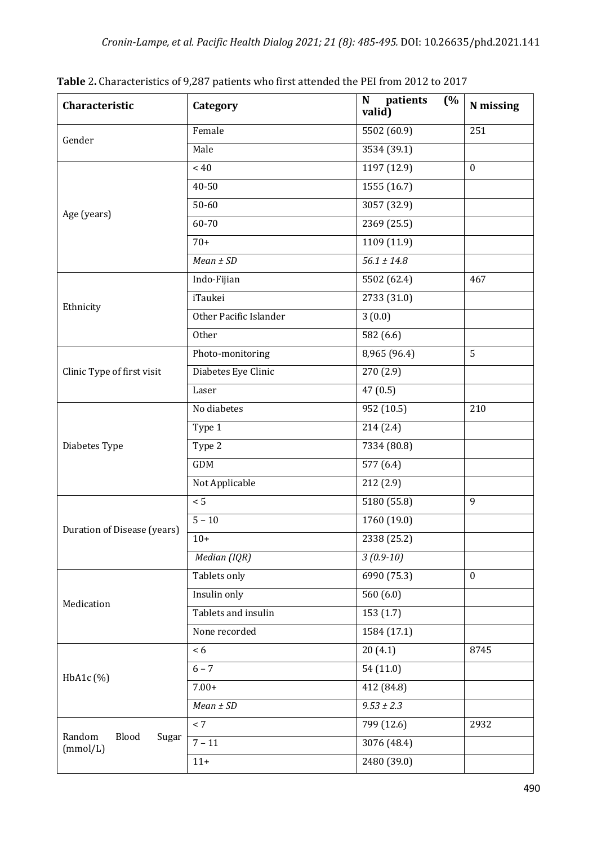| Characteristic                       | Category               | $\overline{(\%)}$<br>patients<br>$\mathbf N$<br>valid) | N missing    |
|--------------------------------------|------------------------|--------------------------------------------------------|--------------|
| Gender                               | Female                 | 5502 (60.9)                                            | 251          |
|                                      | Male                   | 3534 (39.1)                                            |              |
|                                      | ~< 40                  | 1197 (12.9)                                            | $\mathbf{0}$ |
|                                      | 40-50                  | 1555(16.7)                                             |              |
| Age (years)                          | 50-60                  | 3057(32.9)                                             |              |
|                                      | 60-70                  | 2369 (25.5)                                            |              |
|                                      | $70+$                  | 1109 (11.9)                                            |              |
|                                      | $Mean \pm SD$          | $56.1 \pm 14.8$                                        |              |
|                                      | Indo-Fijian            | 5502 (62.4)                                            | 467          |
|                                      | iTaukei                | 2733 (31.0)                                            |              |
| Ethnicity                            | Other Pacific Islander | 3(0.0)                                                 |              |
|                                      | Other                  | 582 (6.6)                                              |              |
|                                      | Photo-monitoring       | 8,965 (96.4)                                           | 5            |
| Clinic Type of first visit           | Diabetes Eye Clinic    | 270 (2.9)                                              |              |
|                                      | Laser                  | 47(0.5)                                                |              |
|                                      | No diabetes            | 952 (10.5)                                             | 210          |
|                                      | Type 1                 | 214(2.4)                                               |              |
| Diabetes Type                        | Type 2                 | 7334 (80.8)                                            |              |
|                                      | GDM                    | 577 (6.4)                                              |              |
|                                      | Not Applicable         | 212 (2.9)                                              |              |
|                                      | $\overline{5}$         | $\overline{5180}$ (55.8)                               | 9            |
| Duration of Disease (years)          | $5 - 10$               | 1760 (19.0)                                            |              |
|                                      | $10+$                  | 2338 (25.2)                                            |              |
|                                      | Median (IQR)           | $3(0.9-10)$                                            |              |
| Medication                           | Tablets only           | 6990 (75.3)                                            | $\mathbf{0}$ |
|                                      | Insulin only           | 560 $(6.0)$                                            |              |
|                                      | Tablets and insulin    | 153(1.7)                                               |              |
|                                      | None recorded          | 1584 (17.1)                                            |              |
| HbA1c(%)                             | < 6                    | 20(4.1)                                                | 8745         |
|                                      | $6 - 7$                | 54(11.0)                                               |              |
|                                      | $7.00+$                | 412 (84.8)                                             |              |
|                                      | $Mean \pm SD$          | $9.53 \pm 2.3$                                         |              |
|                                      | < 7                    | 799 (12.6)                                             | 2932         |
| Random<br>Blood<br>Sugar<br>(mmol/L) | $7 - 11$               | 3076 (48.4)                                            |              |
|                                      | $11+$                  | $\overline{2480}$ (39.0)                               |              |

Table 2. Characteristics of 9,287 patients who first attended the PEI from 2012 to 2017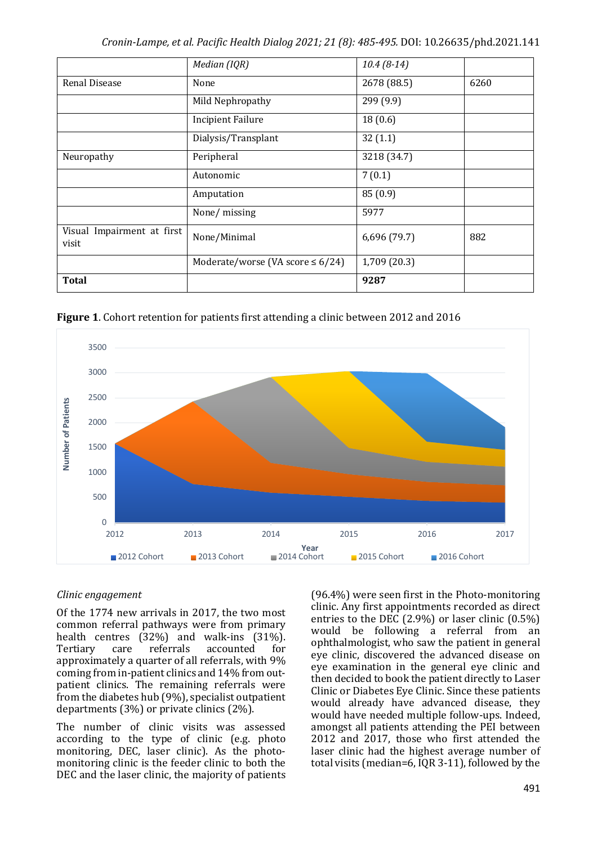|                                     | Median (IQR)                           | $10.4(8-14)$ |      |
|-------------------------------------|----------------------------------------|--------------|------|
| <b>Renal Disease</b>                | None                                   | 2678 (88.5)  | 6260 |
|                                     | Mild Nephropathy                       | 299 (9.9)    |      |
|                                     | <b>Incipient Failure</b>               | 18(0.6)      |      |
|                                     | Dialysis/Transplant                    | 32(1.1)      |      |
| Neuropathy                          | Peripheral                             | 3218 (34.7)  |      |
|                                     | Autonomic                              | 7(0.1)       |      |
|                                     | Amputation                             | 85(0.9)      |      |
|                                     | None/missing                           | 5977         |      |
| Visual Impairment at first<br>visit | None/Minimal                           | 6,696 (79.7) | 882  |
|                                     | Moderate/worse (VA score $\leq 6/24$ ) | 1,709 (20.3) |      |
| <b>Total</b>                        |                                        | 9287         |      |

**Figure 1.** Cohort retention for patients first attending a clinic between 2012 and 2016



#### *Clinic engagement*

Of the 1774 new arrivals in 2017, the two most common referral pathways were from primary health centres  $(32%)$  and walk-ins  $(31%)$ . Tertiary care referrals accounted for approximately a quarter of all referrals, with 9% coming from in-patient clinics and 14% from outpatient clinics. The remaining referrals were from the diabetes hub  $(9%)$ , specialist outpatient departments  $(3\%)$  or private clinics  $(2\%)$ .

The number of clinic visits was assessed according to the type of clinic (e.g. photo monitoring, DEC, laser clinic). As the photomonitoring clinic is the feeder clinic to both the DEC and the laser clinic, the majority of patients

 $(96.4%)$  were seen first in the Photo-monitoring clinic. Any first appointments recorded as direct entries to the DEC  $(2.9\%)$  or laser clinic  $(0.5\%)$ would be following a referral from an ophthalmologist, who saw the patient in general eye clinic, discovered the advanced disease on eve examination in the general eye clinic and then decided to book the patient directly to Laser Clinic or Diabetes Eye Clinic. Since these patients would already have advanced disease, they would have needed multiple follow-ups. Indeed, amongst all patients attending the PEI between 2012 and 2017, those who first attended the laser clinic had the highest average number of total visits (median=6,  $IQR 3-11$ ), followed by the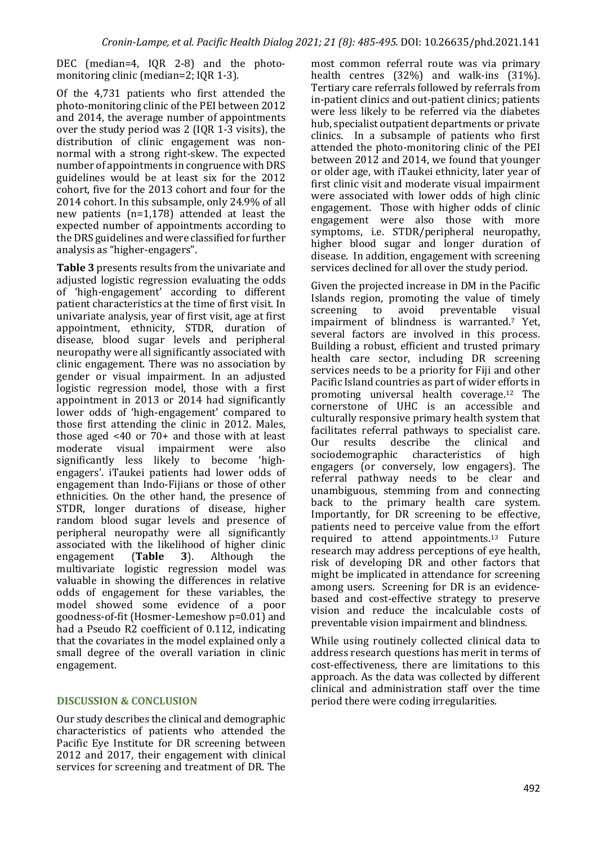DEC (median=4, IOR 2-8) and the photomonitoring clinic (median=2: IOR 1-3).

Of the 4,731 patients who first attended the photo-monitoring clinic of the PEI between 2012 and 2014, the average number of appointments over the study period was  $2 \text{ (IOR } 1-3 \text{ visits)}$ , the distribution of clinic engagement was nonnormal with a strong right-skew. The expected number of appointments in congruence with DRS guidelines would be at least six for the 2012 cohort, five for the 2013 cohort and four for the 2014 cohort. In this subsample, only 24.9% of all new patients  $(n=1,178)$  attended at least the expected number of appointments according to the DRS guidelines and were classified for further analysis as "higher-engagers".

**Table 3** presents results from the univariate and adjusted logistic regression evaluating the odds of 'high-engagement' according to different patient characteristics at the time of first visit. In univariate analysis, vear of first visit, age at first appointment, ethnicity, STDR, duration of disease, blood sugar levels and peripheral neuropathy were all significantly associated with clinic engagement. There was no association by gender or visual impairment. In an adjusted logistic regression model, those with a first appointment in 2013 or 2014 had significantly lower odds of 'high-engagement' compared to those first attending the clinic in 2012. Males, those aged  $\leq 40$  or  $70+$  and those with at least moderate visual impairment were also significantly less likely to become 'highengagers'. iTaukei patients had lower odds of engagement than Indo-Fijians or those of other ethnicities. On the other hand, the presence of STDR, longer durations of disease, higher random blood sugar levels and presence of peripheral neuropathy were all significantly associated with the likelihood of higher clinic engagement (**Table 3**). Although the multivariate logistic regression model was valuable in showing the differences in relative odds of engagement for these variables, the model showed some evidence of a poor goodness-of-fit (Hosmer-Lemeshow p=0.01) and had a Pseudo R2 coefficient of 0.112, indicating that the covariates in the model explained only a small degree of the overall variation in clinic engagement.

#### **DISCUSSION & CONCLUSION**

Our study describes the clinical and demographic characteristics of patients who attended the Pacific Eye Institute for DR screening between 2012 and 2017, their engagement with clinical services for screening and treatment of DR. The most common referral route was via primary health centres  $(32%)$  and walk-ins  $(31%)$ . Tertiary care referrals followed by referrals from in-patient clinics and out-patient clinics; patients were less likely to be referred via the diabetes hub, specialist outpatient departments or private clinics. In a subsample of patients who first attended the photo-monitoring clinic of the PEI between  $2012$  and  $2014$ , we found that younger or older age, with iTaukei ethnicity, later year of first clinic visit and moderate visual impairment were associated with lower odds of high clinic engagement. Those with higher odds of clinic engagement were also those with more symptoms, i.e. STDR/peripheral neuropathy, higher blood sugar and longer duration of disease. In addition, engagement with screening services declined for all over the study period.

Given the projected increase in DM in the Pacific Islands region, promoting the value of timely screening to avoid preventable visual impairment of blindness is warranted.<sup>7</sup> Yet, several factors are involved in this process. Building a robust, efficient and trusted primary health care sector, including DR screening services needs to be a priority for Fiji and other Pacific Island countries as part of wider efforts in promoting universal health coverage.<sup>12</sup> The cornerstone of UHC is an accessible and culturally responsive primary health system that facilitates referral pathways to specialist care. Our results describe the clinical and<br>sociodemographic characteristics of high sociodemographic characteristics of high engagers (or conversely, low engagers). The referral pathway needs to be clear and unambiguous, stemming from and connecting back to the primary health care system. Importantly, for DR screening to be effective, patients need to perceive value from the effort required to attend appointments.<sup>13</sup> Future research may address perceptions of eye health, risk of developing DR and other factors that might be implicated in attendance for screening among users. Screening for DR is an evidencebased and cost-effective strategy to preserve vision and reduce the incalculable costs of preventable vision impairment and blindness.

While using routinely collected clinical data to address research questions has merit in terms of cost-effectiveness, there are limitations to this approach. As the data was collected by different clinical and administration staff over the time period there were coding irregularities.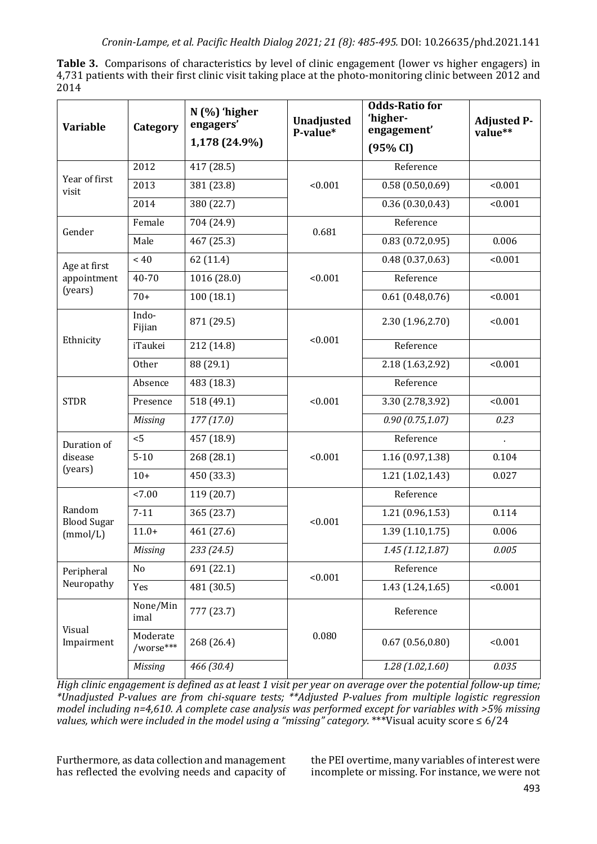**Table 3.** Comparisons of characteristics by level of clinic engagement (lower vs higher engagers) in 4,731 patients with their first clinic visit taking place at the photo-monitoring clinic between 2012 and 2014

| <b>Variable</b>                   | Category              | $N$ (%) 'higher<br>engagers'<br>1,178 (24.9%) | <b>Unadjusted</b><br>P-value* | <b>Odds-Ratio for</b><br>'higher-<br>engagement'<br>(95% CI) | <b>Adjusted P-</b><br>value** |
|-----------------------------------|-----------------------|-----------------------------------------------|-------------------------------|--------------------------------------------------------------|-------------------------------|
|                                   | 2012                  | 417 (28.5)                                    | < 0.001                       | Reference                                                    |                               |
| Year of first<br>visit            | 2013                  | 381 (23.8)                                    |                               | 0.58(0.50, 0.69)                                             | < 0.001                       |
|                                   | 2014                  | 380 (22.7)                                    |                               | 0.36(0.30, 0.43)                                             | < 0.001                       |
| Gender                            | Female                | 704 (24.9)                                    | 0.681                         | Reference                                                    |                               |
|                                   | Male                  | 467 (25.3)                                    |                               | 0.83(0.72, 0.95)                                             | 0.006                         |
| Age at first                      | $~<$ 40               | 62 (11.4)                                     |                               | 0.48(0.37, 0.63)                                             | < 0.001                       |
| appointment                       | 40-70                 | 1016 (28.0)                                   | < 0.001                       | Reference                                                    |                               |
| (years)                           | $70+$                 | 100(18.1)                                     |                               | 0.61(0.48, 0.76)                                             | < 0.001                       |
| Ethnicity                         | Indo-<br>Fijian       | 871 (29.5)                                    |                               | 2.30 (1.96,2.70)                                             | < 0.001                       |
|                                   | iTaukei               | 212 (14.8)                                    | < 0.001                       | Reference                                                    |                               |
|                                   | Other                 | 88 (29.1)                                     |                               | 2.18 (1.63,2.92)                                             | < 0.001                       |
|                                   | Absence               | 483 (18.3)                                    |                               | Reference                                                    |                               |
| <b>STDR</b>                       | Presence              | 518 (49.1)                                    | < 0.001                       | 3.30 (2.78,3.92)                                             | < 0.001                       |
|                                   | <b>Missing</b>        | 177(17.0)                                     |                               | 0.90(0.75, 1.07)                                             | 0.23                          |
| Duration of<br>disease<br>(years) | < 5                   | 457 (18.9)                                    | < 0.001                       | Reference                                                    |                               |
|                                   | $5 - 10$              | 268 (28.1)                                    |                               | 1.16(0.97, 1.38)                                             | 0.104                         |
|                                   | $10+$                 | 450 (33.3)                                    |                               | 1.21(1.02, 1.43)                                             | 0.027                         |
| Random<br><b>Blood Sugar</b>      | < 7.00                | 119 (20.7)                                    | < 0.001                       | Reference                                                    |                               |
|                                   | $7 - 11$              | 365 (23.7)                                    |                               | 1.21(0.96, 1.53)                                             | 0.114                         |
| (mmol/L)                          | $11.0+$               | 461 (27.6)                                    |                               | 1.39(1.10, 1.75)                                             | 0.006                         |
|                                   | Missing               | 233 (24.5)                                    |                               | 1.45(1.12, 1.87)                                             | 0.005                         |
| Peripheral<br>Neuropathy          | No                    | 691 (22.1)                                    | < 0.001                       | Reference                                                    |                               |
|                                   | Yes                   | 481 (30.5)                                    |                               | 1.43 (1.24,1.65)                                             | < 0.001                       |
| Visual<br>Impairment              | None/Min<br>imal      | 777 (23.7)                                    | 0.080                         | Reference                                                    |                               |
|                                   | Moderate<br>/worse*** | 268 (26.4)                                    |                               | 0.67(0.56, 0.80)                                             | < 0.001                       |
|                                   | <b>Missing</b>        | 466 (30.4)                                    |                               | 1.28(1.02, 1.60)                                             | 0.035                         |

*High clinic engagement is defined as at least 1 visit per year on average over the potential follow-up time; \*Unadjusted P-values are from chi-square tests; \*\*Adjusted P-values from multiple logistic regression*  model including n=4,610. A complete case analysis was performed except for variables with >5% missing *values,* which were included in the model using a "missing" category. \*\*\*Visual acuity score  $\leq 6/24$ 

Furthermore, as data collection and management has reflected the evolving needs and capacity of the PEI overtime, many variables of interest were incomplete or missing. For instance, we were not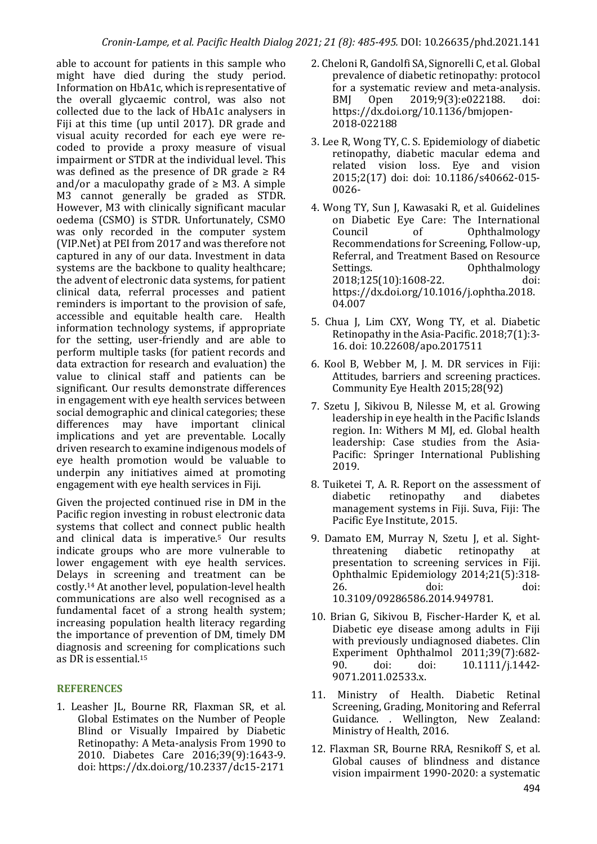able to account for patients in this sample who might have died during the study period. Information on HbA1c, which is representative of the overall glycaemic control, was also not collected due to the lack of HbA1c analysers in Fiji at this time (up until 2017). DR grade and visual acuity recorded for each eye were recoded to provide a proxy measure of visual impairment or STDR at the individual level. This was defined as the presence of DR grade  $\geq$  R4 and/or a maculopathy grade of  $\geq$  M3. A simple M3 cannot generally be graded as STDR. However, M3 with clinically significant macular oedema (CSMO) is STDR. Unfortunately, CSMO was only recorded in the computer system (VIP.Net) at PEI from 2017 and was therefore not captured in any of our data. Investment in data systems are the backbone to quality healthcare; the advent of electronic data systems, for patient clinical data, referral processes and patient reminders is important to the provision of safe. accessible and equitable health care. Health information technology systems, if appropriate for the setting, user-friendly and are able to perform multiple tasks (for patient records and data extraction for research and evaluation) the value to clinical staff and patients can be significant. Our results demonstrate differences in engagement with eye health services between social demographic and clinical categories; these differences may have important clinical implications and vet are preventable. Locally driven research to examine indigenous models of eye health promotion would be valuable to underpin any initiatives aimed at promoting engagement with eye health services in Fiji.

Given the projected continued rise in DM in the Pacific region investing in robust electronic data systems that collect and connect public health and clinical data is imperative.<sup>5</sup> Our results indicate groups who are more vulnerable to lower engagement with eye health services. Delays in screening and treatment can be costly.<sup>14</sup> At another level, population-level health communications are also well recognised as a fundamental facet of a strong health system; increasing population health literacy regarding the importance of prevention of DM, timely DM diagnosis and screening for complications such as DR is essential.<sup>15</sup>

## **REFERENCES**

1. Leasher JL, Bourne RR, Flaxman SR, et al. Global Estimates on the Number of People Blind or Visually Impaired by Diabetic Retinopathy: A Meta-analysis From 1990 to 2010. Diabetes Care 2016;39(9):1643-9. doi: https://dx.doi.org/10.2337/dc15-2171

- 2. Cheloni R. Gandolfi SA, Signorelli C, et al. Global prevalence of diabetic retinopathy: protocol for a systematic review and meta-analysis. BMJ Open 2019;9(3):e022188. doi: https://dx.doi.org/10.1136/bmjopen-2018-022188
- 3. Lee R, Wong TY, C. S. Epidemiology of diabetic retinopathy, diabetic macular edema and related vision loss. Eye and vision 2015;2(17) doi: doi: 10.1186/s40662-015-0026-
- 4. Wong TY, Sun J, Kawasaki R, et al. Guidelines on Diabetic Eye Care: The International Council of Ophthalmology Recommendations for Screening, Follow-up, Referral, and Treatment Based on Resource Settings. Conthalmology 2018;125(10):1608-22. doi: https://dx.doi.org/10.1016/j.ophtha.2018. 04.007
- 5. Chua J, Lim CXY, Wong TY, et al. Diabetic Retinopathy in the Asia-Pacific.  $2018;7(1):3$ -16. doi: 10.22608/apo.2017511
- 6. Kool B, Webber M, J. M. DR services in Fiji: Attitudes, barriers and screening practices. Community Eye Health 2015;28(92)
- 7. Szetu J, Sikivou B, Nilesse M, et al. Growing leadership in eye health in the Pacific Islands region. In: Withers M MJ, ed. Global health leadership: Case studies from the Asia-Pacific: Springer International Publishing 2019.
- 8. Tuiketei T. A. R. Report on the assessment of diabetic retinopathy and diabetes management systems in Fiji. Suva, Fiji: The Pacific Eye Institute, 2015.
- 9. Damato EM, Murray N, Szetu J, et al. Sightthreatening diabetic retinopathy at presentation to screening services in Fiji. Ophthalmic Epidemiology 2014;21(5):318-26. doi: doi: doi: 10.3109/09286586.2014.949781.
- 10. Brian G, Sikivou B, Fischer-Harder K, et al. Diabetic eye disease among adults in Fiji with previously undiagnosed diabetes. Clin Experiment Ophthalmol 2011;39(7):682-90. doi: doi: 10.1111/j.1442- 9071.2011.02533.x.
- 11. Ministry of Health. Diabetic Retinal Screening, Grading, Monitoring and Referral Guidance. . Wellington, New Zealand: Ministry of Health, 2016.
- 12. Flaxman SR, Bourne RRA, Resnikoff S, et al. Global causes of blindness and distance vision impairment 1990-2020: a systematic